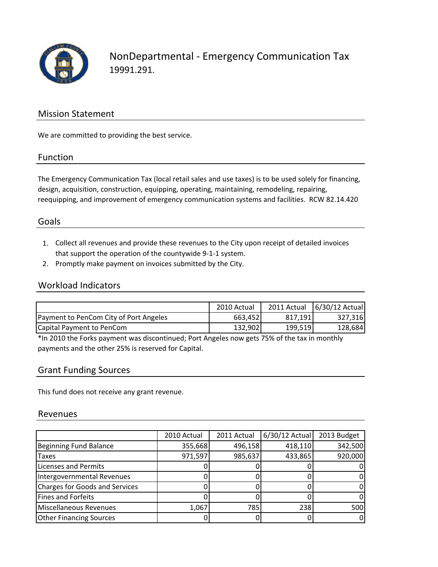

NonDepartmental ‐ Emergency Communication Tax 19991.291.

## Mission Statement

We are committed to providing the best service.

#### Function

The Emergency Communication Tax (local retail sales and use taxes) is to be used solely for financing, design, acquisition, construction, equipping, operating, maintaining, remodeling, repairing, reequipping, and improvement of emergency communication systems and facilities. RCW 82.14.420

## Goals

- 1. Collect all revenues and provide these revenues to the City upon receipt of detailed invoices that support the operation of the countywide 9‐1‐1 system.
- 2. Promptly make payment on invoices submitted by the City.

### Workload Indicators

|                                        | 2010 Actual | 2011 Actual | 6/30/12 Actual |
|----------------------------------------|-------------|-------------|----------------|
| Payment to PenCom City of Port Angeles | 663.452     | 817.191     | 327,316        |
| <b>Capital Payment to PenCom</b>       | 132,902     | 199,519     | 128,684        |

\*In 2010 the Forks payment was discontinued; Port Angeles now gets 75% of the tax in monthly payments and the other 25% is reserved for Capital.

#### Grant Funding Sources

This fund does not receive any grant revenue.

#### Revenues

|                                | 2010 Actual | 2011 Actual | 6/30/12 Actual | 2013 Budget |
|--------------------------------|-------------|-------------|----------------|-------------|
| Beginning Fund Balance         | 355,668     | 496,158     | 418,110        | 342,500     |
| <b>Taxes</b>                   | 971,597     | 985,637     | 433,865        | 920,000     |
| Licenses and Permits           |             |             |                |             |
| Intergovernmental Revenues     |             |             |                |             |
| Charges for Goods and Services |             |             |                |             |
| Fines and Forfeits             |             |             |                |             |
| Miscellaneous Revenues         | 1,067       | 785         | 238            | 500         |
| <b>Other Financing Sources</b> |             |             |                |             |